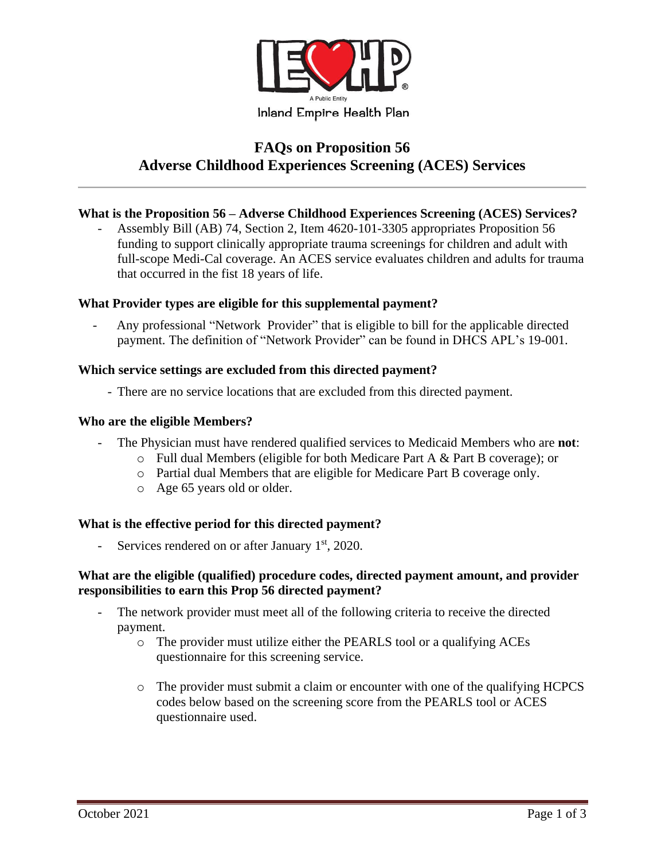

# **FAQs on Proposition 56 Adverse Childhood Experiences Screening (ACES) Services**

## **What is the Proposition 56 – Adverse Childhood Experiences Screening (ACES) Services?**

Assembly Bill (AB) 74, Section 2, Item 4620-101-3305 appropriates Proposition 56 funding to support clinically appropriate trauma screenings for children and adult with full-scope Medi-Cal coverage. An ACES service evaluates children and adults for trauma that occurred in the fist 18 years of life.

### **What Provider types are eligible for this supplemental payment?**

- Any professional "Network Provider" that is eligible to bill for the applicable directed payment. The definition of "Network Provider" can be found in DHCS APL's 19-001.

### **Which service settings are excluded from this directed payment?**

- There are no service locations that are excluded from this directed payment.

### **Who are the eligible Members?**

- The Physician must have rendered qualified services to Medicaid Members who are **not**:
	- o Full dual Members (eligible for both Medicare Part A & Part B coverage); or
	- o Partial dual Members that are eligible for Medicare Part B coverage only.
	- o Age 65 years old or older.

# **What is the effective period for this directed payment?**

Services rendered on or after January  $1<sup>st</sup>$ , 2020.

### **What are the eligible (qualified) procedure codes, directed payment amount, and provider responsibilities to earn this Prop 56 directed payment?**

- The network provider must meet all of the following criteria to receive the directed payment.
	- o The provider must utilize either the PEARLS tool or a qualifying ACEs questionnaire for this screening service.
	- $\circ$  The provider must submit a claim or encounter with one of the qualifying HCPCS codes below based on the screening score from the PEARLS tool or ACES questionnaire used.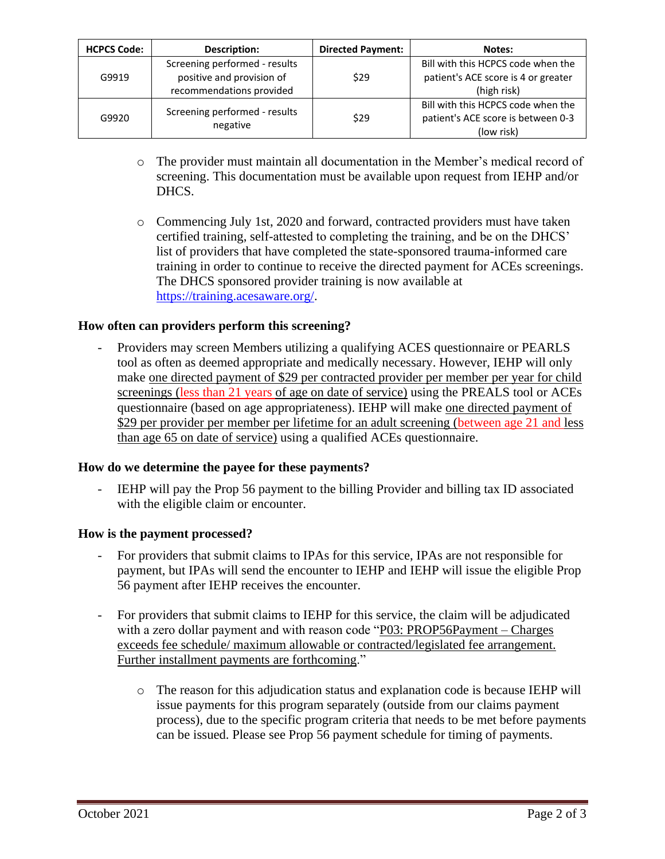| <b>HCPCS Code:</b> | <b>Description:</b>                                                                    | <b>Directed Payment:</b> | Notes:                                                                                   |
|--------------------|----------------------------------------------------------------------------------------|--------------------------|------------------------------------------------------------------------------------------|
| G9919              | Screening performed - results<br>positive and provision of<br>recommendations provided | \$29                     | Bill with this HCPCS code when the<br>patient's ACE score is 4 or greater<br>(high risk) |
| G9920              | Screening performed - results<br>negative                                              | \$29                     | Bill with this HCPCS code when the<br>patient's ACE score is between 0-3<br>(low risk)   |

- o The provider must maintain all documentation in the Member's medical record of screening. This documentation must be available upon request from IEHP and/or DHCS.
- o Commencing July 1st, 2020 and forward, contracted providers must have taken certified training, self-attested to completing the training, and be on the DHCS' list of providers that have completed the state-sponsored trauma-informed care training in order to continue to receive the directed payment for ACEs screenings. The DHCS sponsored provider training is now available at [https://training.acesaware.org/.](https://training.acesaware.org/)

# **How often can providers perform this screening?**

- Providers may screen Members utilizing a qualifying ACES questionnaire or PEARLS tool as often as deemed appropriate and medically necessary. However, IEHP will only make one directed payment of \$29 per contracted provider per member per year for child screenings (less than 21 years of age on date of service) using the PREALS tool or ACEs questionnaire (based on age appropriateness). IEHP will make one directed payment of \$29 per provider per member per lifetime for an adult screening (between age 21 and less than age 65 on date of service) using a qualified ACEs questionnaire.

### **How do we determine the payee for these payments?**

IEHP will pay the Prop 56 payment to the billing Provider and billing tax ID associated with the eligible claim or encounter.

### **How is the payment processed?**

- For providers that submit claims to IPAs for this service, IPAs are not responsible for payment, but IPAs will send the encounter to IEHP and IEHP will issue the eligible Prop 56 payment after IEHP receives the encounter.
- For providers that submit claims to IEHP for this service, the claim will be adjudicated with a zero dollar payment and with reason code "P03: PROP56Payment – Charges exceeds fee schedule/ maximum allowable or contracted/legislated fee arrangement. Further installment payments are forthcoming."
	- o The reason for this adjudication status and explanation code is because IEHP will issue payments for this program separately (outside from our claims payment process), due to the specific program criteria that needs to be met before payments can be issued. Please see Prop 56 payment schedule for timing of payments.